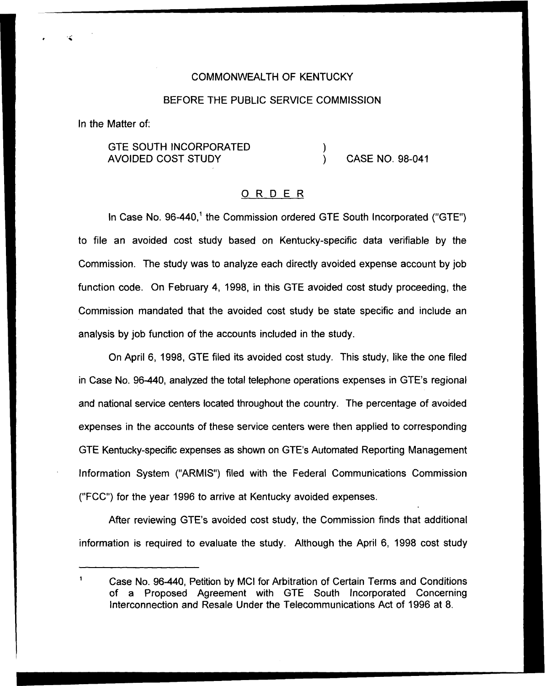## COMMONWEALTH OF KENTUCKY

## BEFORE THE PUBLIC SERVICE COMMISSION

In the Matter of:

GTE SOUTH INCORPORATED AVOIDED COST STUDY

) CASE NO. 98-041

 $\lambda$ 

## ORDER

In Case No. 96-440,<sup>1</sup> the Commission ordered GTE South Incorporated ("GTE") to file an avoided cost study based on Kentucky-specific data verifiable by the Commission. The study was to analyze each directly avoided expense account by job function code. On February 4, 1998, in this GTE avoided cost study proceeding, the Commission mandated that the avoided cost study be state specific and include an analysis by job function of the accounts included in the study.

On April 6, 1998, GTE filed its avoided cost study. This study, like the one filed in Case No. 96-440, analyzed the total telephone operations expenses in GTE's regional and national service centers located throughout the country. The percentage of avoided expenses in the accounts of these service centers were then applied to corresponding GTE Kentucky-specific expenses as shown on GTE's Automated Reporting Management Information System ("ARMIS") filed with the Federal Communications Commissio ("FCC") for the year 1996 to arrive at Kentucky avoided expenses.

After reviewing GTE's avoided cost study, the Commission finds that additional information is required to evaluate the study. Although the April 6, 1998 cost study

Case No. 96-440, Petition by MCI for Arbitration of Certain Terms and Conditions of a Proposed Agreement with GTE South Incorporated Concerning Interconnection and Resale Under the Telecommunications Act of 1996 at 8.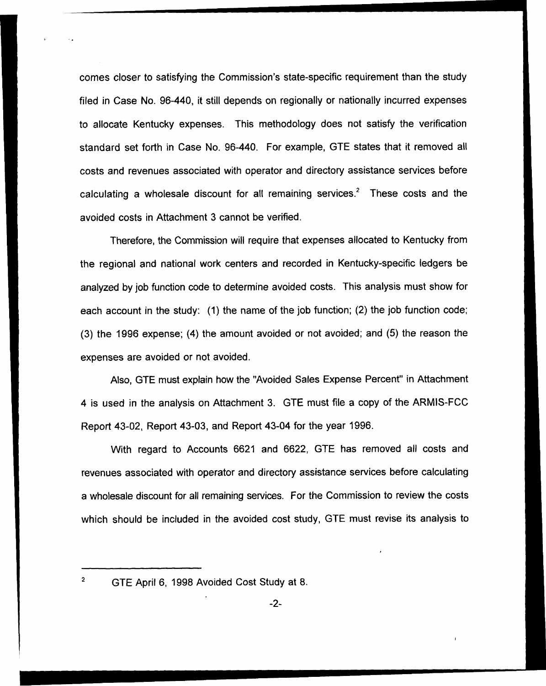comes closer to satisfying the Commission's state-specific requirement than the study filed in Case No. 96-440, it still depends on regionally or nationally incurred expenses to allocate Kentucky expenses. This methodology does not satisfy the verification standard set forth in Case No. 96-440. For example, GTE states that it removed all costs and revenues associated with operator and directory assistance services before calculating a wholesale discount for all remaining services.<sup>2</sup> These costs and the avoided costs in Attachment 3 cannot be verified.

Therefore, the Commission will require that expenses allocated to Kentucky from the regional and national work centers and recorded in Kentucky-specific ledgers be analyzed by job function code to determine avoided costs. This analysis must show for each account in the study: (1) the name of the job function; (2) the job function code; (3) the 1996 expense; (4) the amount avoided or not avoided; and (5) the reason the expenses are avoided or not avoided.

Also, GTE must explain how the "Avoided Sales Expense Percent" in Attachment 4 is used in the analysis on Attachment 3. GTE must file a copy of the ARMIS-FCC Report 43-02, Report 43-03, and Report 43-04 for the year 1996.

With regard to Accounts 6621 and 6622, GTE has removed all costs and revenues associated with operator and directory assistance services before calculating a wholesale discount for all remaining services, For the Commission to review the costs which should be included in the avoided cost study, GTE must revise its analysis to

 $\overline{\mathbf{2}}$ GTE April 6, 1998 Avoided Cost Study at 8.